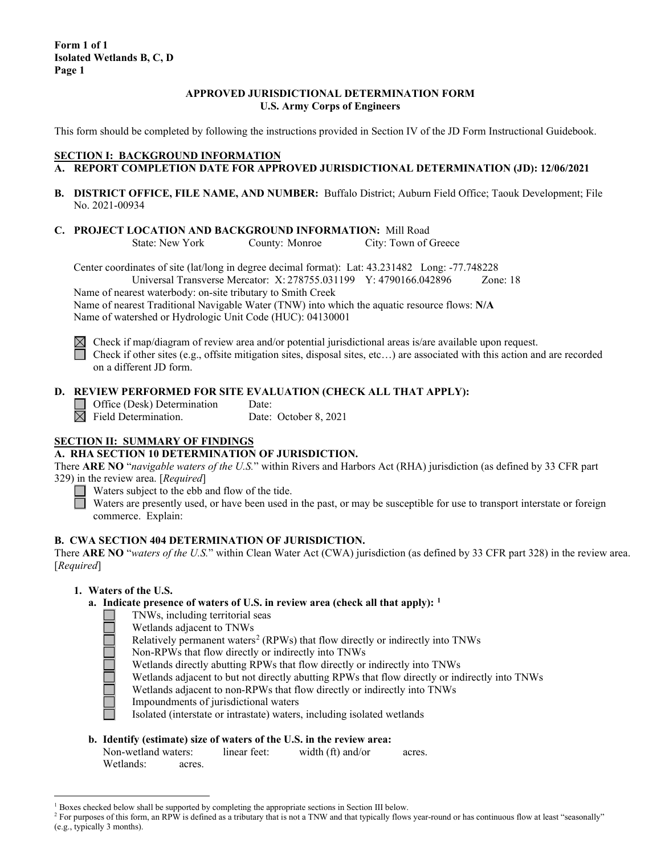### **APPROVED JURISDICTIONAL DETERMINATION FORM U.S. Army Corps of Engineers**

This form should be completed by following the instructions provided in Section IV of the JD Form Instructional Guidebook.

## **SECTION I: BACKGROUND INFORMATION**

- **A. REPORT COMPLETION DATE FOR APPROVED JURISDICTIONAL DETERMINATION (JD): 12/06/2021**
- **B. DISTRICT OFFICE, FILE NAME, AND NUMBER:** Buffalo District; Auburn Field Office; Taouk Development; File No. 2021-00934
- **C. PROJECT LOCATION AND BACKGROUND INFORMATION:** Mill Road<br>State: New York County: Monroe City: Town of 0

County: Monroe City: Town of Greece

Center coordinates of site (lat/long in degree decimal format): Lat: 43.231482 Long: -77.748228 Universal Transverse Mercator: X: 278755.031199 Y: 4790166.042896 Zone: 18

Name of nearest waterbody: on-site tributary to Smith Creek

Name of nearest Traditional Navigable Water (TNW) into which the aquatic resource flows: **N/A** Name of watershed or Hydrologic Unit Code (HUC): 04130001



 $\boxtimes$  Check if map/diagram of review area and/or potential jurisdictional areas is/are available upon request. Check if other sites (e.g., offsite mitigation sites, disposal sites, etc...) are associated with this action and are recorded on a different JD form.

# **D. REVIEW PERFORMED FOR SITE EVALUATION (CHECK ALL THAT APPLY):**

Office (Desk) Determination Date:

 $\overline{\boxtimes}$  Field Determination. Date: October 8, 2021

# **SECTION II: SUMMARY OF FINDINGS**

## **A. RHA SECTION 10 DETERMINATION OF JURISDICTION.**

There **ARE NO** "*navigable waters of the U.S.*" within Rivers and Harbors Act (RHA) jurisdiction (as defined by 33 CFR part 329) in the review area. [*Required*]

 $\Box$  Waters subject to the ebb and flow of the tide.

Waters are presently used, or have been used in the past, or may be susceptible for use to transport interstate or foreign commerce. Explain:

## **B. CWA SECTION 404 DETERMINATION OF JURISDICTION.**

There **ARE NO** "*waters of the U.S.*" within Clean Water Act (CWA) jurisdiction (as defined by 33 CFR part 328) in the review area. [*Required*]

## **1. Waters of the U.S.**

- **a. Indicate presence of waters of U.S. in review area (check all that apply): [1](#page-0-0)**
	- TNWs, including territorial seas
		- Wetlands adjacent to TNWs
		- Relatively permanent waters<sup>[2](#page-0-1)</sup> (RPWs) that flow directly or indirectly into TNWs
	- Non-RPWs that flow directly or indirectly into TNWs
	- Wetlands directly abutting RPWs that flow directly or indirectly into TNWs
	- Wetlands adjacent to but not directly abutting RPWs that flow directly or indirectly into TNWs
	- Wetlands adjacent to non-RPWs that flow directly or indirectly into TNWs
	- Impoundments of jurisdictional waters
	- Isolated (interstate or intrastate) waters, including isolated wetlands

## **b. Identify (estimate) size of waters of the U.S. in the review area:**

| Non-wetland waters: |        | linear feet: | width (ft) and/or | acres. |
|---------------------|--------|--------------|-------------------|--------|
| Wetlands:           | acres. |              |                   |        |

<span id="page-0-0"></span> $1$  Boxes checked below shall be supported by completing the appropriate sections in Section III below.

<span id="page-0-1"></span><sup>&</sup>lt;sup>2</sup> For purposes of this form, an RPW is defined as a tributary that is not a TNW and that typically flows year-round or has continuous flow at least "seasonally" (e.g., typically 3 months).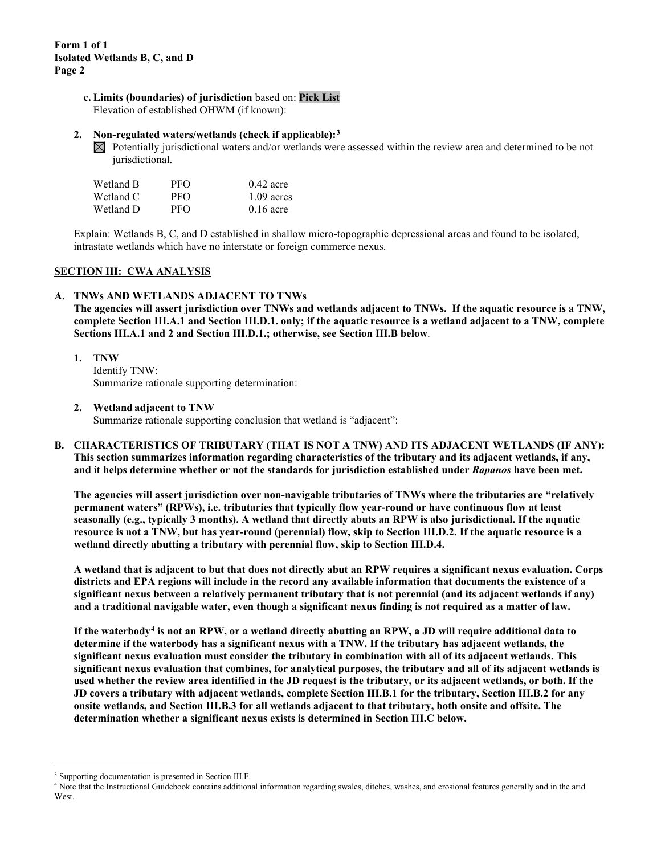**c. Limits (boundaries) of jurisdiction** based on: **Pick List** Elevation of established OHWM (if known):

### **2. Non-regulated waters/wetlands (check if applicable):[3](#page-1-0)**

 $\boxtimes$  Potentially jurisdictional waters and/or wetlands were assessed within the review area and determined to be not jurisdictional.

| Wetland B | PFO | $0.42$ acre  |
|-----------|-----|--------------|
| Wetland C | PFO | $1.09$ acres |
| Wetland D | PFO | $0.16$ acre  |

Explain: Wetlands B, C, and D established in shallow micro-topographic depressional areas and found to be isolated, intrastate wetlands which have no interstate or foreign commerce nexus.

#### **SECTION III: CWA ANALYSIS**

#### **A. TNWs AND WETLANDS ADJACENT TO TNWs**

**The agencies will assert jurisdiction over TNWs and wetlands adjacent to TNWs. If the aquatic resource is a TNW, complete Section III.A.1 and Section III.D.1. only; if the aquatic resource is a wetland adjacent to a TNW, complete Sections III.A.1 and 2 and Section III.D.1.; otherwise, see Section III.B below**.

**1. TNW**  Identify TNW: Summarize rationale supporting determination:

#### **2. Wetland adjacent to TNW**

Summarize rationale supporting conclusion that wetland is "adjacent":

**B. CHARACTERISTICS OF TRIBUTARY (THAT IS NOT A TNW) AND ITS ADJACENT WETLANDS (IF ANY): This section summarizes information regarding characteristics of the tributary and its adjacent wetlands, if any, and it helps determine whether or not the standards for jurisdiction established under** *Rapanos* **have been met.** 

**The agencies will assert jurisdiction over non-navigable tributaries of TNWs where the tributaries are "relatively permanent waters" (RPWs), i.e. tributaries that typically flow year-round or have continuous flow at least seasonally (e.g., typically 3 months). A wetland that directly abuts an RPW is also jurisdictional. If the aquatic resource is not a TNW, but has year-round (perennial) flow, skip to Section III.D.2. If the aquatic resource is a wetland directly abutting a tributary with perennial flow, skip to Section III.D.4.** 

**A wetland that is adjacent to but that does not directly abut an RPW requires a significant nexus evaluation. Corps districts and EPA regions will include in the record any available information that documents the existence of a significant nexus between a relatively permanent tributary that is not perennial (and its adjacent wetlands if any) and a traditional navigable water, even though a significant nexus finding is not required as a matter of law.**

**If the waterbody[4](#page-1-1) is not an RPW, or a wetland directly abutting an RPW, a JD will require additional data to determine if the waterbody has a significant nexus with a TNW. If the tributary has adjacent wetlands, the significant nexus evaluation must consider the tributary in combination with all of its adjacent wetlands. This significant nexus evaluation that combines, for analytical purposes, the tributary and all of its adjacent wetlands is used whether the review area identified in the JD request is the tributary, or its adjacent wetlands, or both. If the JD covers a tributary with adjacent wetlands, complete Section III.B.1 for the tributary, Section III.B.2 for any onsite wetlands, and Section III.B.3 for all wetlands adjacent to that tributary, both onsite and offsite. The determination whether a significant nexus exists is determined in Section III.C below.**

<span id="page-1-0"></span><sup>&</sup>lt;sup>3</sup> Supporting documentation is presented in Section III.F.

<span id="page-1-1"></span><sup>4</sup> Note that the Instructional Guidebook contains additional information regarding swales, ditches, washes, and erosional features generally and in the arid **West**.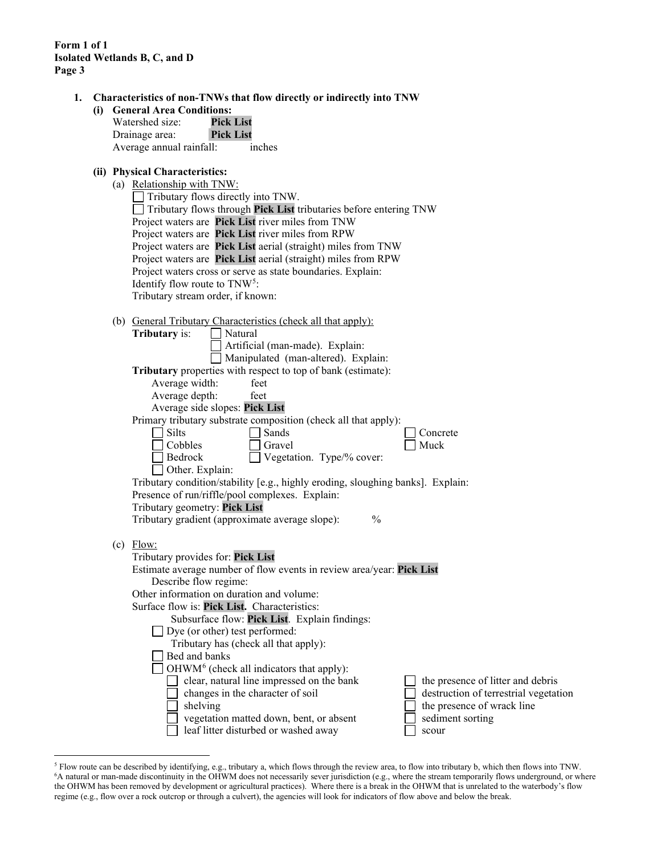**1. Characteristics of non-TNWs that flow directly or indirectly into TNW**

| (i) | <b>General Area Conditions:</b> |                  |  |  |
|-----|---------------------------------|------------------|--|--|
|     | Watershed size:                 | <b>Pick List</b> |  |  |
|     | Drainage area:                  | <b>Pick List</b> |  |  |
|     | Average annual rainfall:        | inches           |  |  |

# **(ii) Physical Characteristics:**

(a) Relationship with TNW:

| $\Box$ Tributary flows directly into TNW.                         |  |  |
|-------------------------------------------------------------------|--|--|
| Tributary flows through Pick List tributaries before entering TNW |  |  |
| Project waters are Pick List river miles from TNW                 |  |  |
| Project waters are Pick List river miles from RPW                 |  |  |
| Project waters are Pick List aerial (straight) miles from TNW     |  |  |
| Project waters are Pick List aerial (straight) miles from RPW     |  |  |
| Project waters cross or serve as state boundaries. Explain:       |  |  |
| Identify flow route to $TNW5$ :                                   |  |  |
| Tributary stream order, if known:                                 |  |  |

| (b) General Tributary Characteristics (check all that apply):                   |  |  |  |
|---------------------------------------------------------------------------------|--|--|--|
| Natural<br><b>Tributary</b> is:                                                 |  |  |  |
| Artificial (man-made). Explain:                                                 |  |  |  |
| Manipulated (man-altered). Explain:                                             |  |  |  |
| Tributary properties with respect to top of bank (estimate):                    |  |  |  |
| Average width:<br>feet                                                          |  |  |  |
| Average depth:<br>feet                                                          |  |  |  |
| Average side slopes: Pick List                                                  |  |  |  |
| Primary tributary substrate composition (check all that apply):                 |  |  |  |
| Silts<br>Sands<br>Concrete                                                      |  |  |  |
| Cobbles<br>Muck<br>Gravel                                                       |  |  |  |
| Bedrock<br>Vegetation. Type/% cover:                                            |  |  |  |
| Other. Explain:                                                                 |  |  |  |
| Tributary condition/stability [e.g., highly eroding, sloughing banks]. Explain: |  |  |  |
| Presence of run/riffle/pool complexes. Explain:                                 |  |  |  |
| Tributary geometry: Pick List                                                   |  |  |  |
| Tributary gradient (approximate average slope):<br>$\frac{0}{0}$                |  |  |  |
|                                                                                 |  |  |  |
| $(c)$ Flow:                                                                     |  |  |  |
| Tributary provides for: Pick List                                               |  |  |  |
| Estimate average number of flow events in review area/year: Pick List           |  |  |  |
| Describe flow regime:                                                           |  |  |  |
| Other information on duration and volume:                                       |  |  |  |
| Surface flow is: Pick List. Characteristics:                                    |  |  |  |
| Subsurface flow: Pick List. Explain findings:                                   |  |  |  |
| Dye (or other) test performed:                                                  |  |  |  |
| Tributary has (check all that apply):                                           |  |  |  |
| Bed and banks                                                                   |  |  |  |
| OHWM <sup>6</sup> (check all indicators that apply):                            |  |  |  |
| clear, natural line impressed on the bank<br>the presence of litter and debris  |  |  |  |
| changes in the character of soil<br>destruction of terrestrial vegetation       |  |  |  |
| the presence of wrack line<br>shelving                                          |  |  |  |
| sediment sorting<br>vegetation matted down, bent, or absent                     |  |  |  |
| leaf litter disturbed or washed away<br>scour                                   |  |  |  |

<span id="page-2-1"></span><span id="page-2-0"></span><sup>&</sup>lt;sup>5</sup> Flow route can be described by identifying, e.g., tributary a, which flows through the review area, to flow into tributary b, which then flows into TNW.<br><sup>6</sup>A natural or man-made discontinuity in the OHWM does not nece the OHWM has been removed by development or agricultural practices). Where there is a break in the OHWM that is unrelated to the waterbody's flow regime (e.g., flow over a rock outcrop or through a culvert), the agencies will look for indicators of flow above and below the break.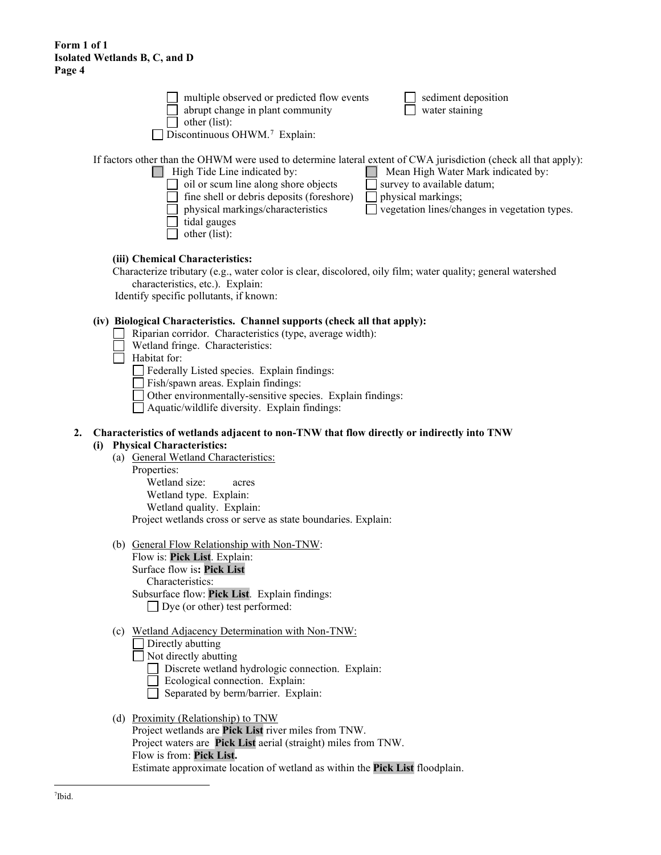multiple observed or predicted flow events  $\Box$  sediment deposition abrupt change in plant community  $\Box$  water staining

 $\Box$  other (list):

Discontinuous OHWM.<sup>[7](#page-3-0)</sup> Explain:

If factors other than the OHWM were used to determine lateral extent of CWA jurisdiction (check all that apply):

# High Tide Line indicated by: Mean High Water Mark indicated by:

- $\Box$  oil or scum line along shore objects  $\Box$  survey to available datum; fine shell or debris deposits (foreshore)  $\Box$  physical markings; physical markings/characteristics  $\Box$  vegetation lines/changes in vegetation types. tidal gauges
- other (list):

# **(iii) Chemical Characteristics:**

Characterize tributary (e.g., water color is clear, discolored, oily film; water quality; general watershed characteristics, etc.). Explain:

Identify specific pollutants, if known:

# **(iv) Biological Characteristics. Channel supports (check all that apply):**

- Riparian corridor. Characteristics (type, average width):
	- **Wetland fringe. Characteristics:**
- $\Box$  Habitat for:
	- Federally Listed species. Explain findings:
	- $\Box$  Fish/spawn areas. Explain findings:
	- Other environmentally-sensitive species. Explain findings:
	- $\Box$  Aquatic/wildlife diversity. Explain findings:

#### **2. Characteristics of wetlands adjacent to non-TNW that flow directly or indirectly into TNW (i) Physical Characteristics:**

- (a) General Wetland Characteristics:
	- Properties:

Wetland size: acres Wetland type. Explain: Wetland quality. Explain: Project wetlands cross or serve as state boundaries. Explain:

(b) General Flow Relationship with Non-TNW:

Flow is: **Pick List**. Explain: Surface flow is**: Pick List**  Characteristics: Subsurface flow: **Pick List**. Explain findings: Dye (or other) test performed:

## (c) Wetland Adjacency Determination with Non-TNW:

Directly abutting

Not directly abutting

- Discrete wetland hydrologic connection. Explain:
- Ecological connection. Explain:
- Separated by berm/barrier. Explain:

# <span id="page-3-0"></span>(d) Proximity (Relationship) to TNW

Project wetlands are **Pick List** river miles from TNW. Project waters are **Pick List** aerial (straight) miles from TNW. Flow is from: **Pick List.** Estimate approximate location of wetland as within the **Pick List** floodplain.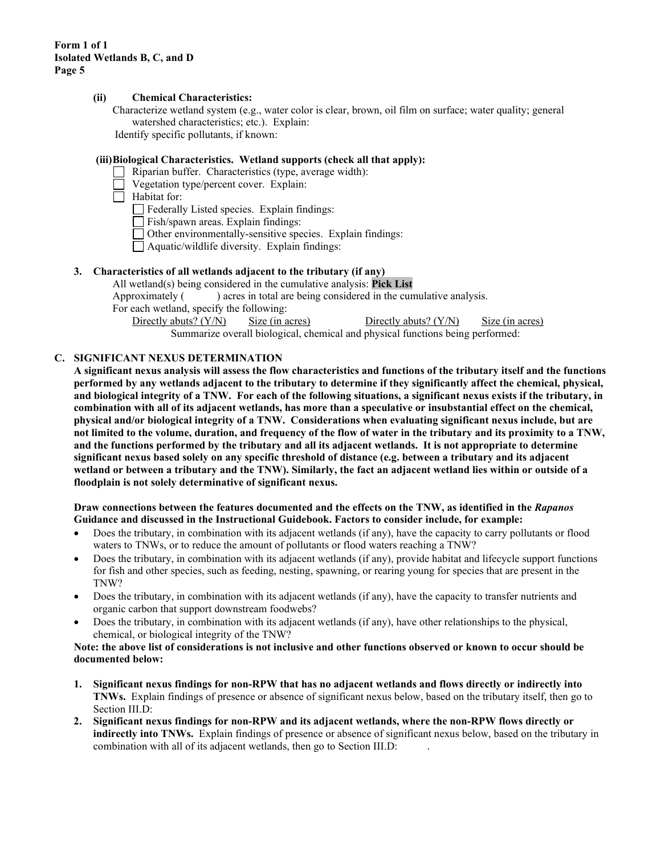#### **(ii) Chemical Characteristics:**

Characterize wetland system (e.g., water color is clear, brown, oil film on surface; water quality; general watershed characteristics; etc.). Explain: Identify specific pollutants, if known:

**(iii)Biological Characteristics. Wetland supports (check all that apply):**

- Riparian buffer. Characteristics (type, average width):
- Vegetation type/percent cover. Explain:

 $\Box$  Habitat for:

Federally Listed species. Explain findings:

 $\Box$  Fish/spawn areas. Explain findings:

- Other environmentally-sensitive species. Explain findings:
- Aquatic/wildlife diversity. Explain findings:

# **3. Characteristics of all wetlands adjacent to the tributary (if any)**

All wetland(s) being considered in the cumulative analysis: **Pick List** Approximately () acres in total are being considered in the cumulative analysis. For each wetland, specify the following:

Directly abuts? (Y/N) Size (in acres) Directly abuts? (Y/N) Size (in acres) Summarize overall biological, chemical and physical functions being performed:

# **C. SIGNIFICANT NEXUS DETERMINATION**

**A significant nexus analysis will assess the flow characteristics and functions of the tributary itself and the functions performed by any wetlands adjacent to the tributary to determine if they significantly affect the chemical, physical, and biological integrity of a TNW. For each of the following situations, a significant nexus exists if the tributary, in combination with all of its adjacent wetlands, has more than a speculative or insubstantial effect on the chemical, physical and/or biological integrity of a TNW. Considerations when evaluating significant nexus include, but are not limited to the volume, duration, and frequency of the flow of water in the tributary and its proximity to a TNW, and the functions performed by the tributary and all its adjacent wetlands. It is not appropriate to determine significant nexus based solely on any specific threshold of distance (e.g. between a tributary and its adjacent wetland or between a tributary and the TNW). Similarly, the fact an adjacent wetland lies within or outside of a floodplain is not solely determinative of significant nexus.** 

**Draw connections between the features documented and the effects on the TNW, as identified in the** *Rapanos* **Guidance and discussed in the Instructional Guidebook. Factors to consider include, for example:**

- Does the tributary, in combination with its adjacent wetlands (if any), have the capacity to carry pollutants or flood waters to TNWs, or to reduce the amount of pollutants or flood waters reaching a TNW?
- Does the tributary, in combination with its adjacent wetlands (if any), provide habitat and lifecycle support functions for fish and other species, such as feeding, nesting, spawning, or rearing young for species that are present in the TNW?
- Does the tributary, in combination with its adjacent wetlands (if any), have the capacity to transfer nutrients and organic carbon that support downstream foodwebs?
- Does the tributary, in combination with its adjacent wetlands (if any), have other relationships to the physical, chemical, or biological integrity of the TNW?

**Note: the above list of considerations is not inclusive and other functions observed or known to occur should be documented below:**

- **1. Significant nexus findings for non-RPW that has no adjacent wetlands and flows directly or indirectly into TNWs.** Explain findings of presence or absence of significant nexus below, based on the tributary itself, then go to Section III.D:
- **2. Significant nexus findings for non-RPW and its adjacent wetlands, where the non-RPW flows directly or indirectly into TNWs.** Explain findings of presence or absence of significant nexus below, based on the tributary in combination with all of its adjacent wetlands, then go to Section III.D: .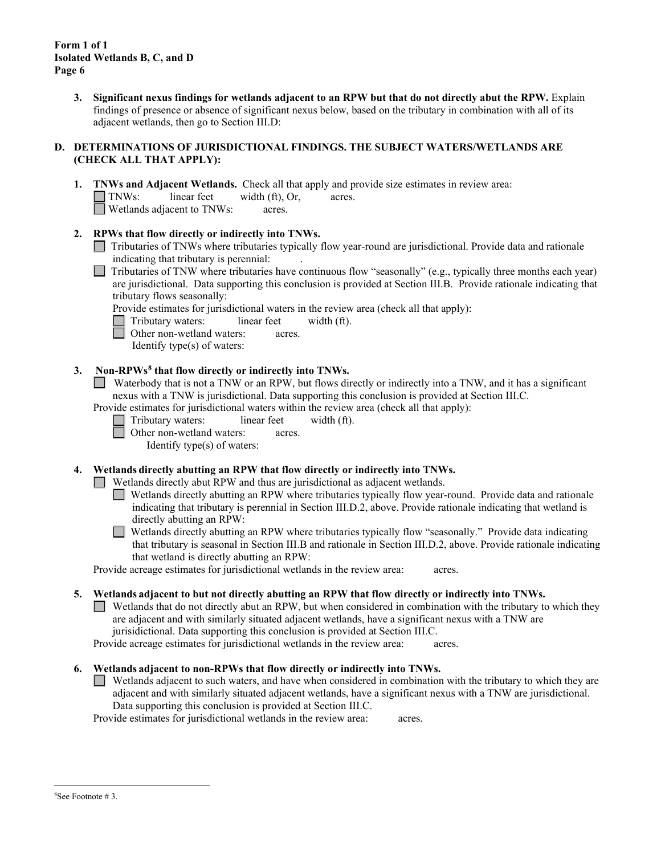> **3. Significant nexus findings for wetlands adjacent to an RPW but that do not directly abut the RPW.** Explain findings of presence or absence of significant nexus below, based on the tributary in combination with all of its adjacent wetlands, then go to Section III.D:

## **D. DETERMINATIONS OF JURISDICTIONAL FINDINGS. THE SUBJECT WATERS/WETLANDS ARE (CHECK ALL THAT APPLY):**

- **1. TNWs and Adjacent Wetlands.** Check all that apply and provide size estimates in review area: TNWs: linear feet width (ft), Or, acres. Wetlands adjacent to TNWs: acres.
- **2. RPWs that flow directly or indirectly into TNWs.**
	- Tributaries of TNWs where tributaries typically flow year-round are jurisdictional. Provide data and rationale indicating that tributary is perennial: .
	- Tributaries of TNW where tributaries have continuous flow "seasonally" (e.g., typically three months each year) ш are jurisdictional. Data supporting this conclusion is provided at Section III.B. Provide rationale indicating that tributary flows seasonally:

Provide estimates for jurisdictional waters in the review area (check all that apply):

- Tributary waters: linear feet width (ft).
- Other non-wetland waters: acres.

Identify type(s) of waters:

# **3. Non-RPWs[8](#page-5-0) that flow directly or indirectly into TNWs.**

Waterbody that is not a TNW or an RPW, but flows directly or indirectly into a TNW, and it has a significant nexus with a TNW is jurisdictional. Data supporting this conclusion is provided at Section III.C.

Provide estimates for jurisdictional waters within the review area (check all that apply):

- Tributary waters: linear feet width (ft).
	- Other non-wetland waters: acres.

Identify type(s) of waters:

**4. Wetlands directly abutting an RPW that flow directly or indirectly into TNWs.** 

 $\Box$  Wetlands directly abut RPW and thus are jurisdictional as adjacent wetlands.

Wetlands directly abutting an RPW where tributaries typically flow year-round. Provide data and rationale indicating that tributary is perennial in Section III.D.2, above. Provide rationale indicating that wetland is directly abutting an RPW:

Wetlands directly abutting an RPW where tributaries typically flow "seasonally." Provide data indicating  $\mathcal{L}$ that tributary is seasonal in Section III.B and rationale in Section III.D.2, above. Provide rationale indicating that wetland is directly abutting an RPW:

Provide acreage estimates for jurisdictional wetlands in the review area: acres.

**5. Wetlands adjacent to but not directly abutting an RPW that flow directly or indirectly into TNWs.**

Wetlands that do not directly abut an RPW, but when considered in combination with the tributary to which they are adjacent and with similarly situated adjacent wetlands, have a significant nexus with a TNW are jurisidictional. Data supporting this conclusion is provided at Section III.C.

Provide acreage estimates for jurisdictional wetlands in the review area: acres.

## **6. Wetlands adjacent to non-RPWs that flow directly or indirectly into TNWs.**

 $\Box$  Wetlands adjacent to such waters, and have when considered in combination with the tributary to which they are adjacent and with similarly situated adjacent wetlands, have a significant nexus with a TNW are jurisdictional. Data supporting this conclusion is provided at Section III.C.

<span id="page-5-0"></span>Provide estimates for jurisdictional wetlands in the review area: acres.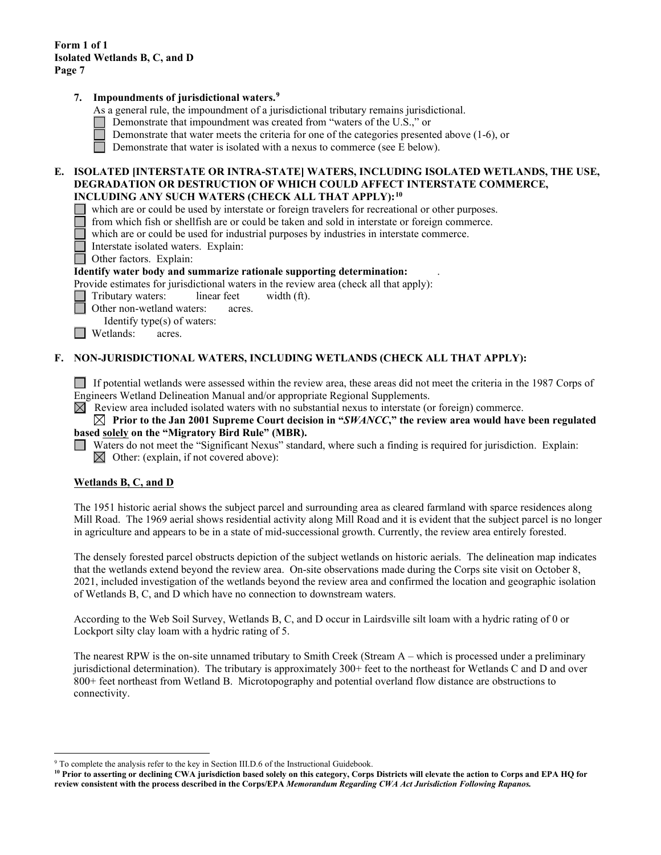### **7. Impoundments of jurisdictional waters. [9](#page-6-0)**

As a general rule, the impoundment of a jurisdictional tributary remains jurisdictional.

- Demonstrate that impoundment was created from "waters of the U.S.," or
- Demonstrate that water meets the criteria for one of the categories presented above (1-6), or
- Demonstrate that water is isolated with a nexus to commerce (see E below).  $\Box$

#### **E. ISOLATED [INTERSTATE OR INTRA-STATE] WATERS, INCLUDING ISOLATED WETLANDS, THE USE, DEGRADATION OR DESTRUCTION OF WHICH COULD AFFECT INTERSTATE COMMERCE, INCLUDING ANY SUCH WATERS (CHECK ALL THAT APPLY):[10](#page-6-1)**

- which are or could be used by interstate or foreign travelers for recreational or other purposes.
- from which fish or shellfish are or could be taken and sold in interstate or foreign commerce.
- which are or could be used for industrial purposes by industries in interstate commerce.
- Interstate isolated waters.Explain:
- Other factors.Explain:

#### **Identify water body and summarize rationale supporting determination:** .

Provide estimates for jurisdictional waters in the review area (check all that apply):

- Tributary waters: linear feet width (ft).
- Other non-wetland waters: acres.
- Identify type(s) of waters:
- **Netlands:** acres.

#### **F. NON-JURISDICTIONAL WATERS, INCLUDING WETLANDS (CHECK ALL THAT APPLY):**

If potential wetlands were assessed within the review area, these areas did not meet the criteria in the 1987 Corps of Engineers Wetland Delineation Manual and/or appropriate Regional Supplements.

 $\boxtimes$  Review area included isolated waters with no substantial nexus to interstate (or foreign) commerce.

#### **Prior to the Jan 2001 Supreme Court decision in "***SWANCC***," the review area would have been regulated**  $\blacksquare$ **based solely on the "Migratory Bird Rule" (MBR).**

Waters do not meet the "Significant Nexus" standard, where such a finding is required for jurisdiction. Explain:  $\boxtimes$  Other: (explain, if not covered above):

#### **Wetlands B, C, and D**

The 1951 historic aerial shows the subject parcel and surrounding area as cleared farmland with sparce residences along Mill Road. The 1969 aerial shows residential activity along Mill Road and it is evident that the subject parcel is no longer in agriculture and appears to be in a state of mid-successional growth. Currently, the review area entirely forested.

The densely forested parcel obstructs depiction of the subject wetlands on historic aerials. The delineation map indicates that the wetlands extend beyond the review area. On-site observations made during the Corps site visit on October 8, 2021, included investigation of the wetlands beyond the review area and confirmed the location and geographic isolation of Wetlands B, C, and D which have no connection to downstream waters.

According to the Web Soil Survey, Wetlands B, C, and D occur in Lairdsville silt loam with a hydric rating of 0 or Lockport silty clay loam with a hydric rating of 5.

The nearest RPW is the on-site unnamed tributary to Smith Creek (Stream A – which is processed under a preliminary jurisdictional determination). The tributary is approximately 300+ feet to the northeast for Wetlands C and D and over 800+ feet northeast from Wetland B. Microtopography and potential overland flow distance are obstructions to connectivity.

<span id="page-6-0"></span><sup>&</sup>lt;sup>9</sup> To complete the analysis refer to the key in Section III.D.6 of the Instructional Guidebook.

<span id="page-6-1"></span>**<sup>10</sup> Prior to asserting or declining CWA jurisdiction based solely on this category, Corps Districts will elevate the action to Corps and EPA HQ for review consistent with the process described in the Corps/EPA** *Memorandum Regarding CWA Act Jurisdiction Following Rapanos.*